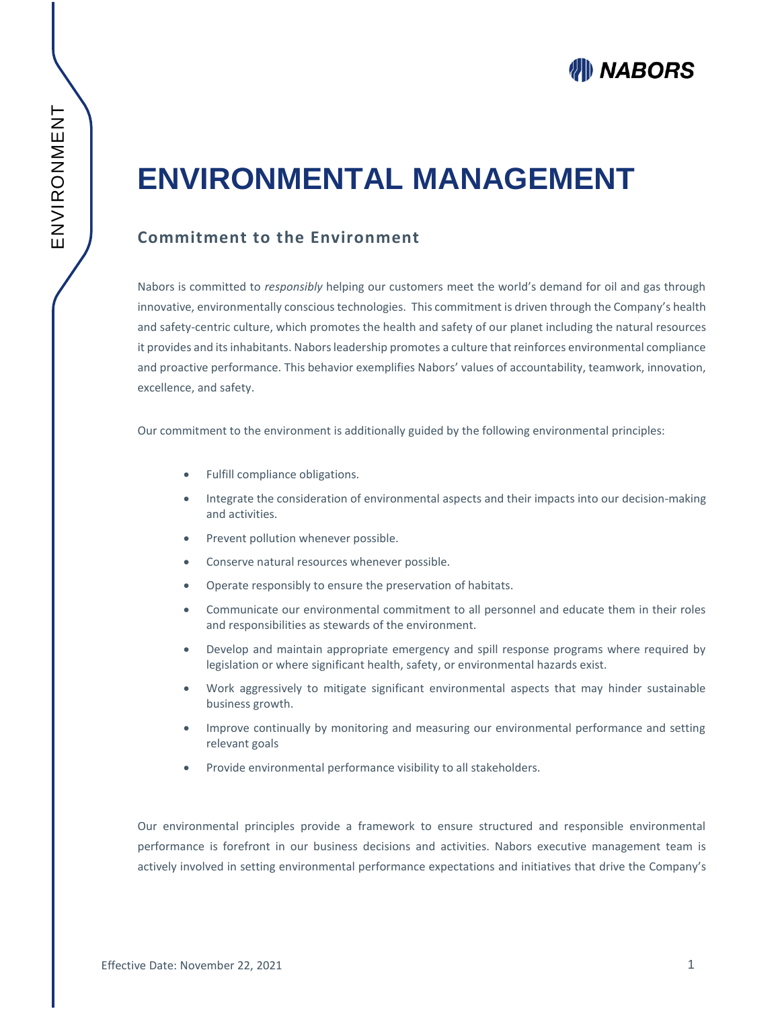# **WIII NABORS**

# **ENVIRONMENTAL MANAGEMENT**

## **Commitment to the Environment**

Nabors is committed to *responsibly* helping our customers meet the world's demand for oil and gas through innovative, environmentally conscious technologies. This commitment is driven through the Company's health and safety-centric culture, which promotes the health and safety of our planet including the natural resources it provides and its inhabitants. Nabors leadership promotes a culture that reinforces environmental compliance and proactive performance. This behavior exemplifies Nabors' values of accountability, teamwork, innovation, excellence, and safety.

Our commitment to the environment is additionally guided by the following environmental principles:

- Fulfill compliance obligations.
- Integrate the consideration of environmental aspects and their impacts into our decision-making and activities.
- Prevent pollution whenever possible.
- Conserve natural resources whenever possible.
- Operate responsibly to ensure the preservation of habitats.
- Communicate our environmental commitment to all personnel and educate them in their roles and responsibilities as stewards of the environment.
- Develop and maintain appropriate emergency and spill response programs where required by legislation or where significant health, safety, or environmental hazards exist.
- Work aggressively to mitigate significant environmental aspects that may hinder sustainable business growth.
- Improve continually by monitoring and measuring our environmental performance and setting relevant goals
- Provide environmental performance visibility to all stakeholders.

Our environmental principles provide a framework to ensure structured and responsible environmental performance is forefront in our business decisions and activities. Nabors executive management team is actively involved in setting environmental performance expectations and initiatives that drive the Company's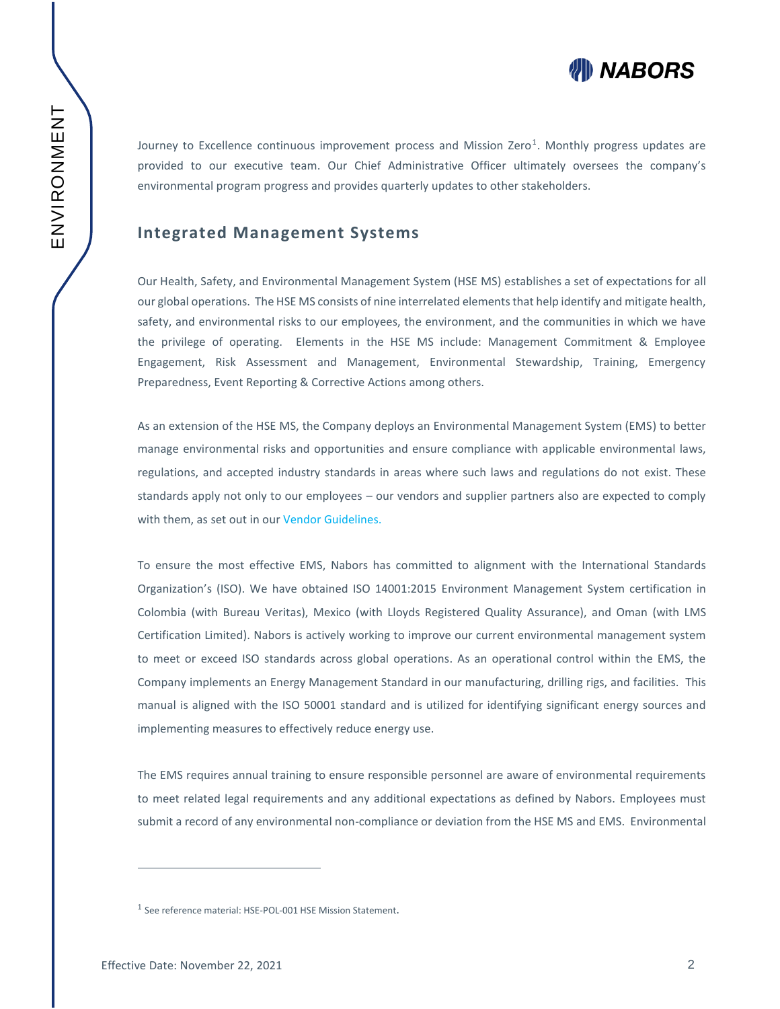

Journey to Excellence continuous improvement process and Mission Zero<sup>1</sup>. Monthly progress updates are provided to our executive team. Our Chief Administrative Officer ultimately oversees the company's environmental program progress and provides quarterly updates to other stakeholders.

#### **Integrated Management Systems**

Our Health, Safety, and Environmental Management System (HSE MS) establishes a set of expectations for all our global operations. The HSE MS consists of nine interrelated elements that help identify and mitigate health, safety, and environmental risks to our employees, the environment, and the communities in which we have the privilege of operating. Elements in the HSE MS include: Management Commitment & Employee Engagement, Risk Assessment and Management, Environmental Stewardship, Training, Emergency Preparedness, Event Reporting & Corrective Actions among others.

As an extension of the HSE MS, the Company deploys an Environmental Management System (EMS) to better manage environmental risks and opportunities and ensure compliance with applicable environmental laws, regulations, and accepted industry standards in areas where such laws and regulations do not exist. These standards apply not only to our employees – our vendors and supplier partners also are expected to comply with them, as set out in our Vendor Guidelines.

To ensure the most effective EMS, Nabors has committed to alignment with the International Standards Organization's (ISO). We have obtained ISO 14001:2015 Environment Management System certification in Colombia (with Bureau Veritas), Mexico (with Lloyds Registered Quality Assurance), and Oman (with LMS Certification Limited). Nabors is actively working to improve our current environmental management system to meet or exceed ISO standards across global operations. As an operational control within the EMS, the Company implements an Energy Management Standard in our manufacturing, drilling rigs, and facilities. This manual is aligned with the ISO 50001 standard and is utilized for identifying significant energy sources and implementing measures to effectively reduce energy use.

The EMS requires annual training to ensure responsible personnel are aware of environmental requirements to meet related legal requirements and any additional expectations as defined by Nabors. Employees must submit a record of any environmental non-compliance or deviation from the HSE MS and EMS. Environmental

 $\overline{a}$ 

<sup>&</sup>lt;sup>1</sup> See reference material: HSE-POL-001 HSE Mission Statement.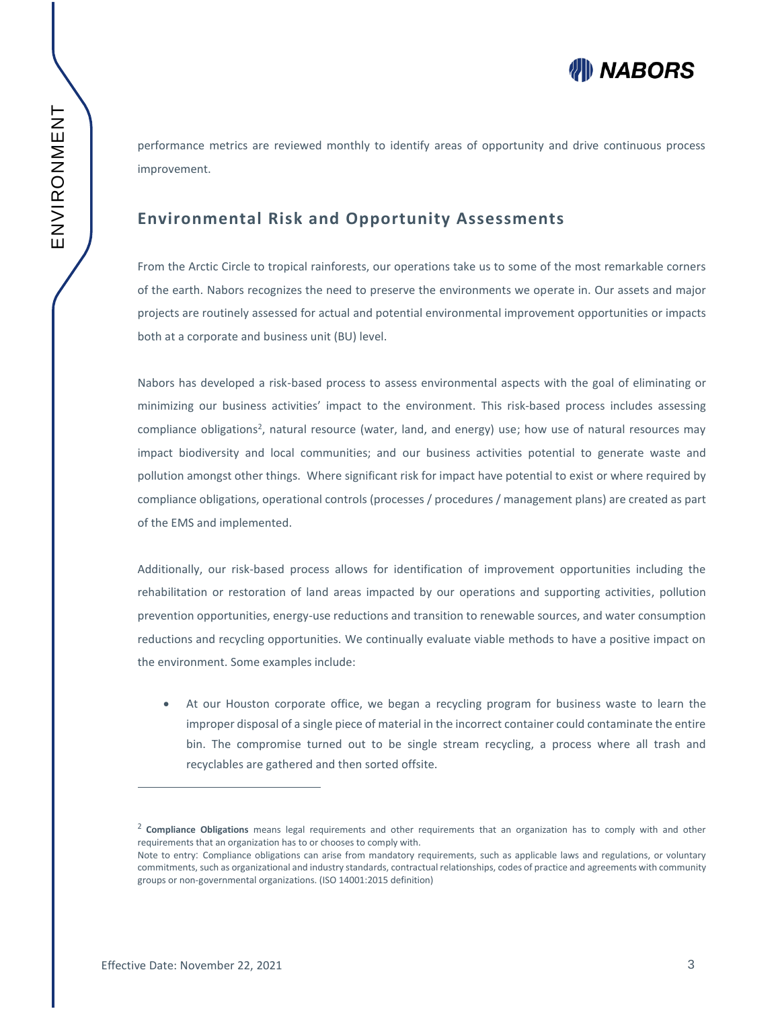**WIII NABORS** 

performance metrics are reviewed monthly to identify areas of opportunity and drive continuous process improvement.

### **Environmental Risk and Opportunity Assessments**

From the Arctic Circle to tropical rainforests, our operations take us to some of the most remarkable corners of the earth. Nabors recognizes the need to preserve the environments we operate in. Our assets and major projects are routinely assessed for actual and potential environmental improvement opportunities or impacts both at a corporate and business unit (BU) level.

Nabors has developed a risk-based process to assess environmental aspects with the goal of eliminating or minimizing our business activities' impact to the environment. This risk-based process includes assessing compliance obligations<sup>2</sup>, natural resource (water, land, and energy) use; how use of natural resources may impact biodiversity and local communities; and our business activities potential to generate waste and pollution amongst other things. Where significant risk for impact have potential to exist or where required by compliance obligations, operational controls (processes / procedures / management plans) are created as part of the EMS and implemented.

Additionally, our risk-based process allows for identification of improvement opportunities including the rehabilitation or restoration of land areas impacted by our operations and supporting activities, pollution prevention opportunities, energy-use reductions and transition to renewable sources, and water consumption reductions and recycling opportunities. We continually evaluate viable methods to have a positive impact on the environment. Some examples include:

• At our Houston corporate office, we began a recycling program for business waste to learn the improper disposal of a single piece of material in the incorrect container could contaminate the entire bin. The compromise turned out to be single stream recycling, a process where all trash and recyclables are gathered and then sorted offsite.

 $\overline{a}$ 

<sup>2</sup> **Compliance Obligations** means legal requirements and other requirements that an organization has to comply with and other requirements that an organization has to or chooses to comply with.

Note to entry: Compliance obligations can arise from mandatory requirements, such as applicable laws and regulations, or voluntary commitments, such as organizational and industry standards, contractual relationships, codes of practice and agreements with community groups or non-governmental organizations. (ISO 14001:2015 definition)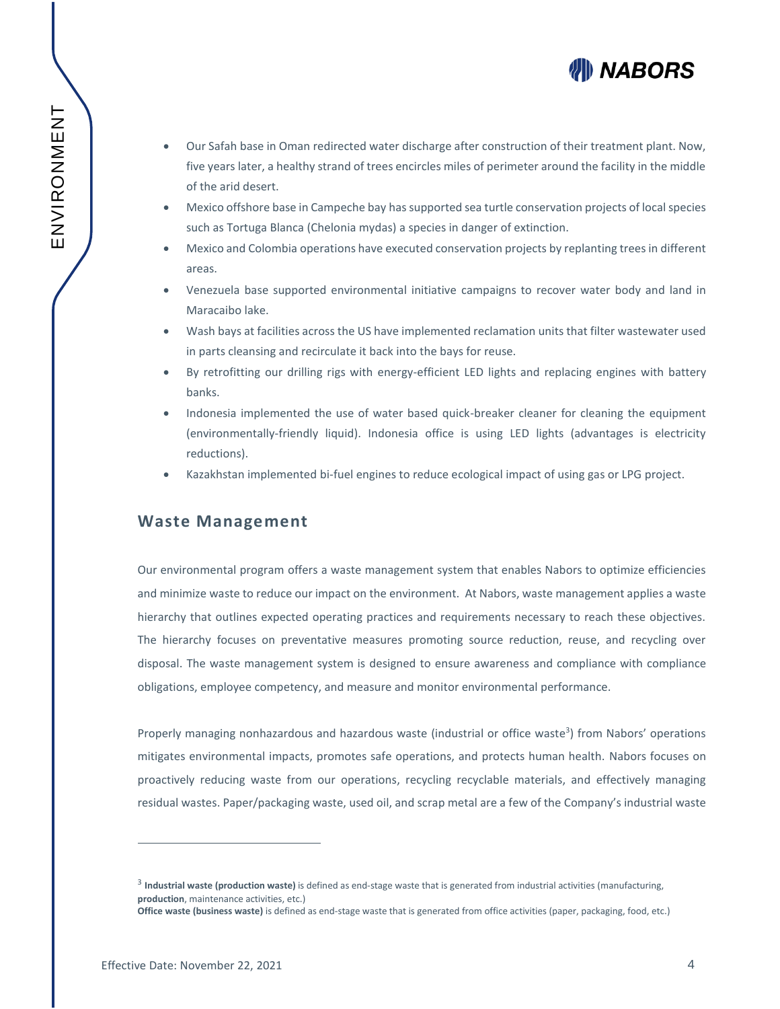

- Our Safah base in Oman redirected water discharge after construction of their treatment plant. Now, five years later, a healthy strand of trees encircles miles of perimeter around the facility in the middle of the arid desert.
- Mexico offshore base in Campeche bay has supported sea turtle conservation projects of local species such as Tortuga Blanca (Chelonia mydas) a species in danger of extinction.
- Mexico and Colombia operations have executed conservation projects by replanting trees in different areas.
- Venezuela base supported environmental initiative campaigns to recover water body and land in Maracaibo lake.
- Wash bays at facilities across the US have implemented reclamation units that filter wastewater used in parts cleansing and recirculate it back into the bays for reuse.
- By retrofitting our drilling rigs with energy-efficient LED lights and replacing engines with battery banks.
- Indonesia implemented the use of water based quick-breaker cleaner for cleaning the equipment (environmentally-friendly liquid). Indonesia office is using LED lights (advantages is electricity reductions).
- Kazakhstan implemented bi-fuel engines to reduce ecological impact of using gas or LPG project.

#### **Waste Management**

Our environmental program offers a waste management system that enables Nabors to optimize efficiencies and minimize waste to reduce our impact on the environment. At Nabors, waste management applies a waste hierarchy that outlines expected operating practices and requirements necessary to reach these objectives. The hierarchy focuses on preventative measures promoting source reduction, reuse, and recycling over disposal. The waste management system is designed to ensure awareness and compliance with compliance obligations, employee competency, and measure and monitor environmental performance.

Properly managing nonhazardous and hazardous waste (industrial or office waste<sup>3</sup>) from Nabors' operations mitigates environmental impacts, promotes safe operations, and protects human health. Nabors focuses on proactively reducing waste from our operations, recycling recyclable materials, and effectively managing residual wastes. Paper/packaging waste, used oil, and scrap metal are a few of the Company's industrial waste

 $\overline{a}$ 

<sup>3</sup> **Industrial waste (production waste)** is defined as end-stage waste that is generated from industrial activities (manufacturing, **production**, maintenance activities, etc.)

**Office waste (business waste)** is defined as end-stage waste that is generated from office activities (paper, packaging, food, etc.)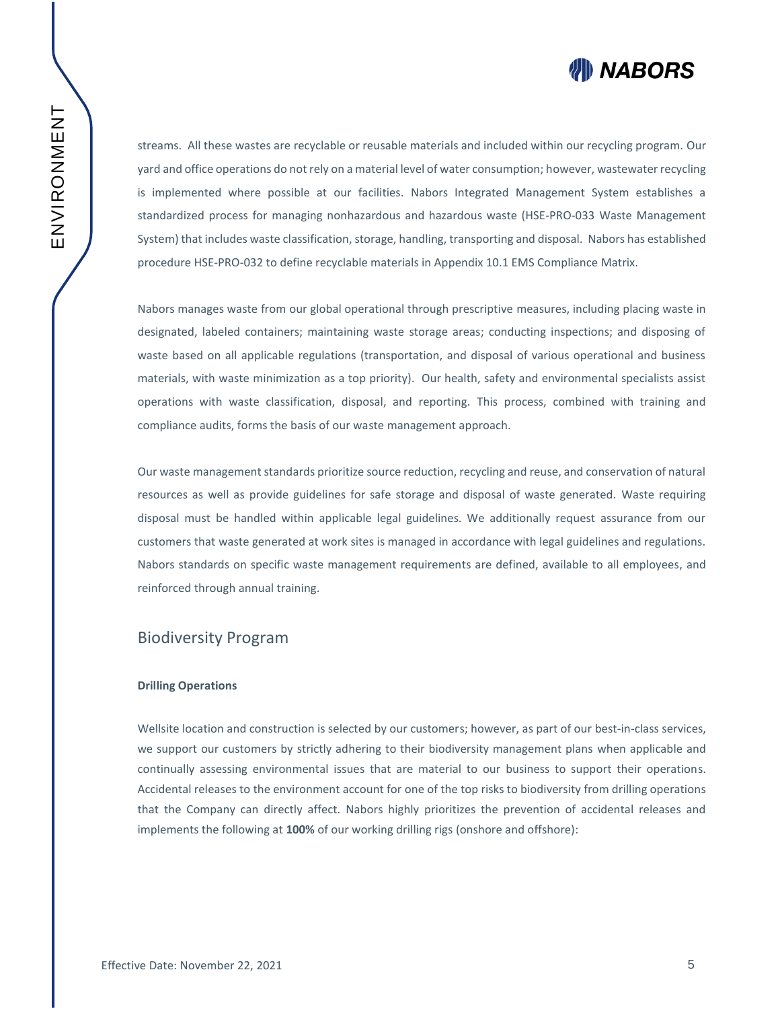

streams. All these wastes are recyclable or reusable materials and included within our recycling program. Our yard and office operations do not rely on a material level of water consumption; however, wastewater recycling is implemented where possible at our facilities. Nabors Integrated Management System establishes a standardized process for managing nonhazardous and hazardous waste (HSE-PRO-033 Waste Management System) that includes waste classification, storage, handling, transporting and disposal. Nabors has established procedure HSE-PRO-032 to define recyclable materials in Appendix 10.1 EMS Compliance Matrix.

Nabors manages waste from our global operational through prescriptive measures, including placing waste in designated, labeled containers; maintaining waste storage areas; conducting inspections; and disposing of waste based on all applicable regulations (transportation, and disposal of various operational and business materials, with waste minimization as a top priority). Our health, safety and environmental specialists assist operations with waste classification, disposal, and reporting. This process, combined with training and compliance audits, forms the basis of our waste management approach.

Our waste management standards prioritize source reduction, recycling and reuse, and conservation of natural resources as well as provide guidelines for safe storage and disposal of waste generated. Waste requiring disposal must be handled within applicable legal guidelines. We additionally request assurance from our customers that waste generated at work sites is managed in accordance with legal guidelines and regulations. Nabors standards on specific waste management requirements are defined, available to all employees, and reinforced through annual training.

#### Biodiversity Program

#### **Drilling Operations**

Wellsite location and construction is selected by our customers; however, as part of our best-in-class services, we support our customers by strictly adhering to their biodiversity management plans when applicable and continually assessing environmental issues that are material to our business to support their operations. Accidental releases to the environment account for one of the top risks to biodiversity from drilling operations that the Company can directly affect. Nabors highly prioritizes the prevention of accidental releases and implements the following at **100%** of our working drilling rigs (onshore and offshore):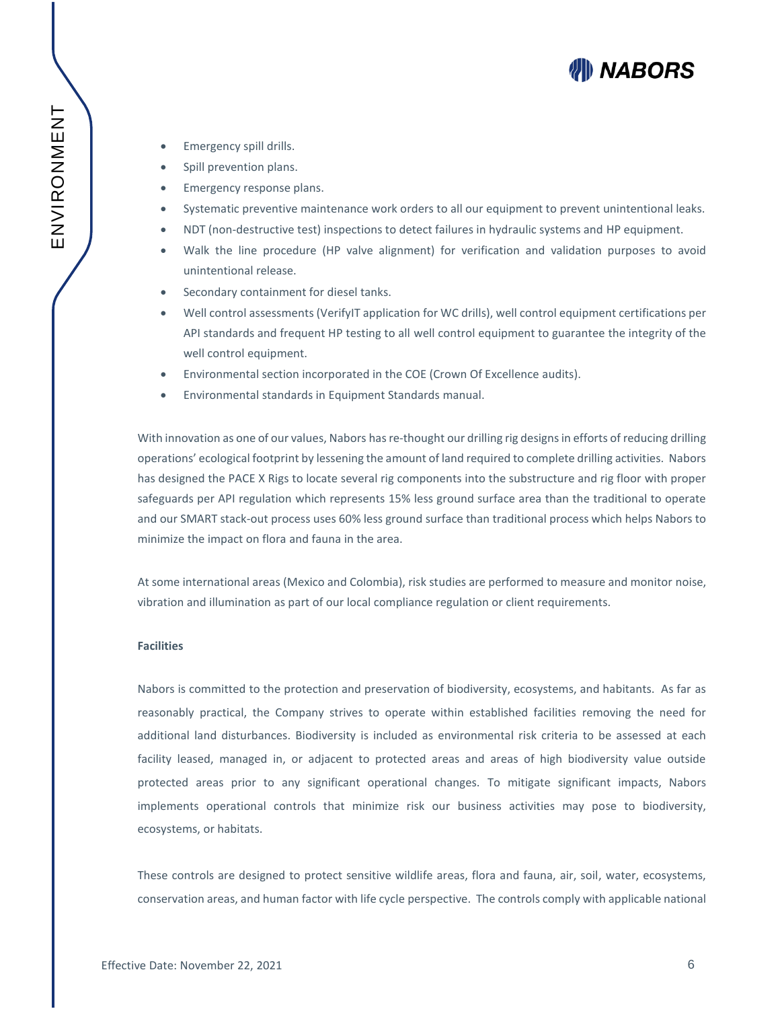# WII) NABORS

- Emergency spill drills.
- Spill prevention plans.
- Emergency response plans.
- Systematic preventive maintenance work orders to all our equipment to prevent unintentional leaks.
- NDT (non-destructive test) inspections to detect failures in hydraulic systems and HP equipment.
- Walk the line procedure (HP valve alignment) for verification and validation purposes to avoid unintentional release.
- Secondary containment for diesel tanks.
- Well control assessments (VerifyIT application for WC drills), well control equipment certifications per API standards and frequent HP testing to all well control equipment to guarantee the integrity of the well control equipment.
- Environmental section incorporated in the COE (Crown Of Excellence audits).
- Environmental standards in Equipment Standards manual.

With innovation as one of our values, Nabors has re-thought our drilling rig designs in efforts of reducing drilling operations' ecological footprint by lessening the amount of land required to complete drilling activities. Nabors has designed the PACE X Rigs to locate several rig components into the substructure and rig floor with proper safeguards per API regulation which represents 15% less ground surface area than the traditional to operate and our SMART stack-out process uses 60% less ground surface than traditional process which helps Nabors to minimize the impact on flora and fauna in the area.

At some international areas (Mexico and Colombia), risk studies are performed to measure and monitor noise, vibration and illumination as part of our local compliance regulation or client requirements.

#### **Facilities**

Nabors is committed to the protection and preservation of biodiversity, ecosystems, and habitants. As far as reasonably practical, the Company strives to operate within established facilities removing the need for additional land disturbances. Biodiversity is included as environmental risk criteria to be assessed at each facility leased, managed in, or adjacent to protected areas and areas of high biodiversity value outside protected areas prior to any significant operational changes. To mitigate significant impacts, Nabors implements operational controls that minimize risk our business activities may pose to biodiversity, ecosystems, or habitats.

These controls are designed to protect sensitive wildlife areas, flora and fauna, air, soil, water, ecosystems, conservation areas, and human factor with life cycle perspective. The controls comply with applicable national